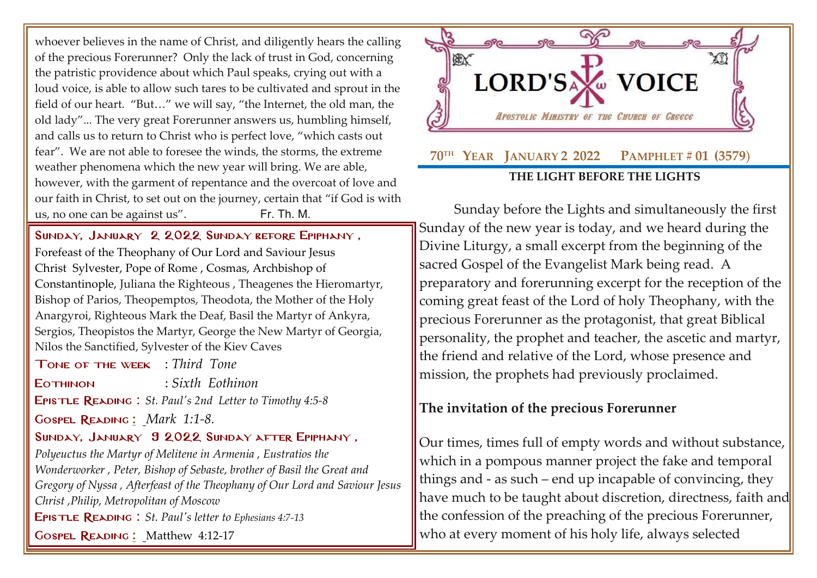whoever believes in the name of Christ, and diligently hears the calling of the precious Forerunner? Only the lack of trust in God, concerning the patristic providence about which Paul speaks, crying out with a loud voice, is able to allow such tares to be cultivated and sprout in the field of our heart. "But…" we will say, "the Internet, the old man, the old lady"... The very great Forerunner answers us, humbling himself, and calls us to return to Christ who is perfect love, "which casts out fear". We are not able to foresee the winds, the storms, the extreme weather phenomena which the new year will bring. We are able, however, with the garment of repentance and the overcoat of love and our faith in Christ, to set out on the journey, certain that "if God is with us, no one can be against us". Fr. Th. M.

SUNDAY, JANUARY 2 2022 SUNDAY BEFORE EPIPHANY,

[Forefeast of the Theophany of Our Lord and Saviour Jesus](http://www.goarch.org/chapel/saints?contentid=365)  [Christ](http://www.goarch.org/chapel/saints?contentid=365) [Sylvester, Pope of Rome](http://www.goarch.org/chapel/saints?contentid=518) , Cosmas, Archbishop of Constantinople, Juliana the Righteous , Theagenes the Hieromartyr, Bishop of Parios, Theopemptos, Theodota, the Mother of the Holy Anargyroi, Righteous Mark the Deaf, Basil the Martyr of Ankyra, Sergios, Theopistos the Martyr, George the New Martyr of Georgia, Nilos the Sanctified, Sylvester of the Kiev Caves

Tone of the week : *Third Tone*

Eothinon : *Sixth Eothinon*

Epistle Reading : *St. Paul's 2nd Letter to [Timothy 4:5-8](http://www.goarch.org/chapel/lectionary?type=E&code=368&event=1164&date=01/02/2022)*

Gospel Reading **[:](http://www.goarch.org/chapel/lectionary?type=G&code=362&event=218)** *[Mark 1:1-8.](http://www.goarch.org/chapel/lectionary?type=G&code=196&event=911)*

## Sunday, January 9 2022 [Sunday after](http://www.goarch.org/chapel/saints?contentid=1164&PCode=SBE&D=S&date=01/02/2022) Epiphany ,

*[Polyeuctus the Martyr of Melitene in Armenia](http://www.goarch.org/chapel/saints?contentid=378) , Eustratios the Wonderworker , Peter, Bishop of Sebaste, brother of Basil the Great and Gregory of Nyssa , [Afterfeast of the Theophany of Our Lord and Saviour Jesus](http://www.goarch.org/chapel/saints?contentid=793)  [Christ](http://www.goarch.org/chapel/saints?contentid=793) [,Philip, Metropolitan of Moscow](http://www.goarch.org/chapel/saints?contentid=2460)*

Epistle Reading : *[St. Paul's letter to](http://www.goarch.org/chapel/lectionary?type=E&code=110&event=291&date=11/14/2021) [Ephesians 4:7-13](http://www.goarch.org/chapel/lectionary?type=E&code=110&event=291&date=11/14/2021)*

Gospel Reading **[:](http://www.goarch.org/chapel/lectionary?type=G&code=362&event=218)** [Matthew 4:12-17](http://www.goarch.org/chapel/lectionary?type=G&code=196&event=911)



Sunday before the Lights and simultaneously the first Sunday of the new year is today, and we heard during the Divine Liturgy, a small excerpt from the beginning of the sacred Gospel of the Evangelist Mark being read. A preparatory and forerunning excerpt for the reception of the coming great feast of the Lord of holy Theophany, with the precious Forerunner as the protagonist, that great Biblical personality, the prophet and teacher, the ascetic and martyr, the friend and relative of the Lord, whose presence and mission, the prophets had previously proclaimed.

## **The invitation of the precious Forerunner**

Our times, times full of empty words and without substance, which in a pompous manner project the fake and temporal things and - as such – end up incapable of convincing, they have much to be taught about discretion, directness, faith and the confession of the preaching of the precious Forerunner, who at every moment of his holy life, always selected